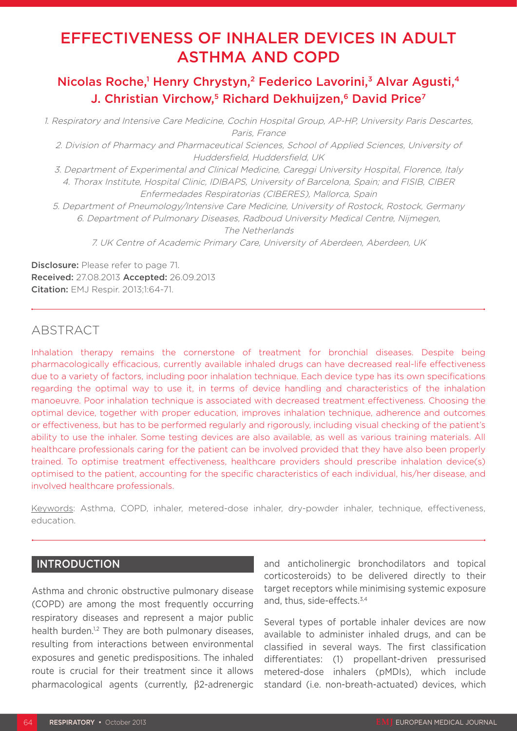# EFFECTIVENESS OF INHALER DEVICES IN ADULT ASTHMA AND COPD

## Nicolas Roche,<sup>1</sup> Henry Chrystyn,<sup>2</sup> Federico Lavorini,<sup>3</sup> Alvar Agusti,<sup>4</sup> J. Christian Virchow,<sup>5</sup> Richard Dekhuijzen,<sup>6</sup> David Price<sup>7</sup>

1. Respiratory and Intensive Care Medicine, Cochin Hospital Group, AP-HP, University Paris Descartes, Paris, France

2. Division of Pharmacy and Pharmaceutical Sciences, School of Applied Sciences, University of Huddersfield, Huddersfield, UK

3. Department of Experimental and Clinical Medicine, Careggi University Hospital, Florence, Italy 4. Thorax Institute, Hospital Clinic, IDIBAPS, University of Barcelona, Spain; and FISIB, CIBER Enfermedades Respiratorias (CIBERES), Mallorca, Spain

5. Department of Pneumology/Intensive Care Medicine, University of Rostock, Rostock, Germany 6. Department of Pulmonary Diseases, Radboud University Medical Centre, Nijmegen, The Netherlands

7. UK Centre of Academic Primary Care, University of Aberdeen, Aberdeen, UK

**Disclosure:** Please refer to page 71. Received: 27.08.2013 Accepted: 26.09.2013 Citation: EMJ Respir. 2013;1:64-71.

## ABSTRACT

Inhalation therapy remains the cornerstone of treatment for bronchial diseases. Despite being pharmacologically efficacious, currently available inhaled drugs can have decreased real-life effectiveness due to a variety of factors, including poor inhalation technique. Each device type has its own specifications regarding the optimal way to use it, in terms of device handling and characteristics of the inhalation manoeuvre. Poor inhalation technique is associated with decreased treatment effectiveness. Choosing the optimal device, together with proper education, improves inhalation technique, adherence and outcomes or effectiveness, but has to be performed regularly and rigorously, including visual checking of the patient's ability to use the inhaler. Some testing devices are also available, as well as various training materials. All healthcare professionals caring for the patient can be involved provided that they have also been properly trained. To optimise treatment effectiveness, healthcare providers should prescribe inhalation device(s) optimised to the patient, accounting for the specific characteristics of each individual, his/her disease, and involved healthcare professionals.

Keywords: Asthma, COPD, inhaler, metered-dose inhaler, dry-powder inhaler, technique, effectiveness, education.

#### **INTRODUCTION**

Asthma and chronic obstructive pulmonary disease (COPD) are among the most frequently occurring respiratory diseases and represent a major public health burden.<sup>1,2</sup> They are both pulmonary diseases, resulting from interactions between environmental exposures and genetic predispositions. The inhaled route is crucial for their treatment since it allows pharmacological agents (currently, β2-adrenergic and anticholinergic bronchodilators and topical corticosteroids) to be delivered directly to their target receptors while minimising systemic exposure and, thus, side-effects.<sup>3,4</sup>

Several types of portable inhaler devices are now available to administer inhaled drugs, and can be classified in several ways. The first classification differentiates: (1) propellant-driven pressurised metered-dose inhalers (pMDIs), which include standard (i.e. non-breath-actuated) devices, which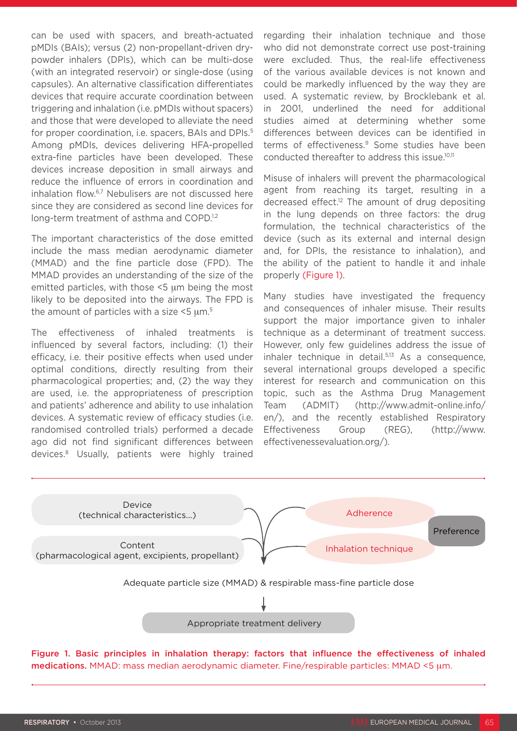can be used with spacers, and breath-actuated pMDIs (BAIs); versus (2) non-propellant-driven drypowder inhalers (DPIs), which can be multi-dose (with an integrated reservoir) or single-dose (using capsules). An alternative classification differentiates devices that require accurate coordination between triggering and inhalation (i.e. pMDIs without spacers) and those that were developed to alleviate the need for proper coordination, i.e. spacers, BAIs and DPIs.<sup>5</sup> Among pMDIs, devices delivering HFA-propelled extra-fine particles have been developed. These devices increase deposition in small airways and reduce the influence of errors in coordination and inhalation flow.6,7 Nebulisers are not discussed here since they are considered as second line devices for long-term treatment of asthma and COPD.<sup>1,2</sup>

The important characteristics of the dose emitted include the mass median aerodynamic diameter (MMAD) and the fine particle dose (FPD). The MMAD provides an understanding of the size of the emitted particles, with those <5 µm being the most likely to be deposited into the airways. The FPD is the amount of particles with a size  $5 \mu m$ .<sup>5</sup>

The effectiveness of inhaled treatments is influenced by several factors, including: (1) their efficacy, i.e. their positive effects when used under optimal conditions, directly resulting from their pharmacological properties; and, (2) the way they are used, i.e. the appropriateness of prescription and patients' adherence and ability to use inhalation devices. A systematic review of efficacy studies (i.e. randomised controlled trials) performed a decade ago did not find significant differences between devices.8 Usually, patients were highly trained

regarding their inhalation technique and those who did not demonstrate correct use post-training were excluded. Thus, the real-life effectiveness of the various available devices is not known and could be markedly influenced by the way they are used. A systematic review, by Brocklebank et al. in 2001, underlined the need for additional studies aimed at determining whether some differences between devices can be identified in terms of effectiveness.<sup>9</sup> Some studies have been conducted thereafter to address this issue.10,11

Misuse of inhalers will prevent the pharmacological agent from reaching its target, resulting in a decreased effect. $12$  The amount of drug depositing in the lung depends on three factors: the drug formulation, the technical characteristics of the device (such as its external and internal design and, for DPIs, the resistance to inhalation), and the ability of the patient to handle it and inhale properly (Figure 1).

Many studies have investigated the frequency and consequences of inhaler misuse. Their results support the major importance given to inhaler technique as a determinant of treatment success. However, only few guidelines address the issue of inhaler technique in detail.<sup>5,13</sup> As a consequence, several international groups developed a specific interest for research and communication on this topic, such as the Asthma Drug Management Team (ADMIT) (http://www.admit-online.info/ en/), and the recently established Respiratory Effectiveness Group (REG), (http://www. effectivenessevaluation.org/).



Figure 1. Basic principles in inhalation therapy: factors that influence the effectiveness of inhaled medications. MMAD: mass median aerodynamic diameter. Fine/respirable particles: MMAD <5 µm.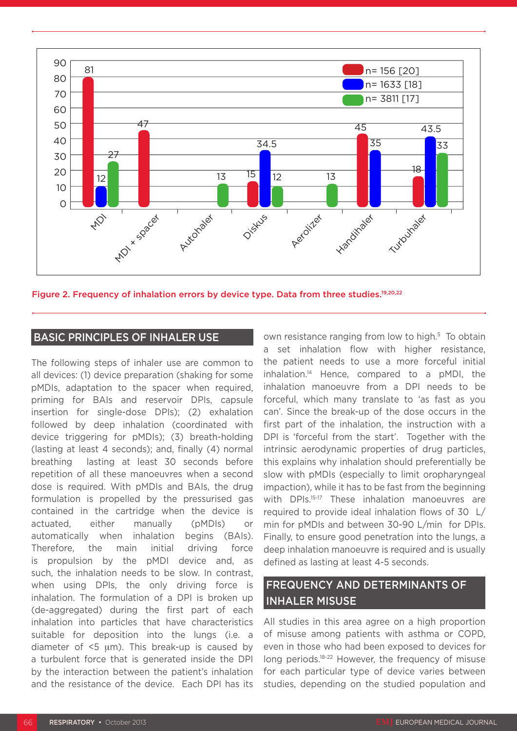

Figure 2. Frequency of inhalation errors by device type. Data from three studies.<sup>19,20,22</sup>

#### BASIC PRINCIPLES OF INHALER USE

The following steps of inhaler use are common to all devices: (1) device preparation (shaking for some pMDIs, adaptation to the spacer when required, priming for BAIs and reservoir DPIs, capsule insertion for single-dose DPIs); (2) exhalation followed by deep inhalation (coordinated with device triggering for pMDIs); (3) breath-holding (lasting at least 4 seconds); and, finally (4) normal breathing lasting at least 30 seconds before repetition of all these manoeuvres when a second dose is required. With pMDIs and BAIs, the drug formulation is propelled by the pressurised gas contained in the cartridge when the device is actuated, either manually (pMDIs) or automatically when inhalation begins (BAIs). Therefore, the main initial driving force is propulsion by the pMDI device and, as such, the inhalation needs to be slow. In contrast, when using DPIs, the only driving force is inhalation. The formulation of a DPI is broken up (de-aggregated) during the first part of each inhalation into particles that have characteristics suitable for deposition into the lungs (i.e. a diameter of  $\leq$ 5  $\mu$ m). This break-up is caused by a turbulent force that is generated inside the DPI by the interaction between the patient's inhalation and the resistance of the device. Each DPI has its

own resistance ranging from low to high.<sup>5</sup> To obtain a set inhalation flow with higher resistance, the patient needs to use a more forceful initial inhalation.14 Hence, compared to a pMDI, the inhalation manoeuvre from a DPI needs to be forceful, which many translate to 'as fast as you can'. Since the break-up of the dose occurs in the first part of the inhalation, the instruction with a DPI is 'forceful from the start'. Together with the intrinsic aerodynamic properties of drug particles, this explains why inhalation should preferentially be slow with pMDIs (especially to limit oropharyngeal impaction), while it has to be fast from the beginning with DPIs.<sup>15-17</sup> These inhalation manoeuvres are required to provide ideal inhalation flows of 30 L/ min for pMDIs and between 30-90 L/min for DPIs. Finally, to ensure good penetration into the lungs, a deep inhalation manoeuvre is required and is usually defined as lasting at least 4-5 seconds.

## FREQUENCY AND DETERMINANTS OF INHALER MISUSE

All studies in this area agree on a high proportion of misuse among patients with asthma or COPD, even in those who had been exposed to devices for long periods.<sup>18-22</sup> However, the frequency of misuse for each particular type of device varies between studies, depending on the studied population and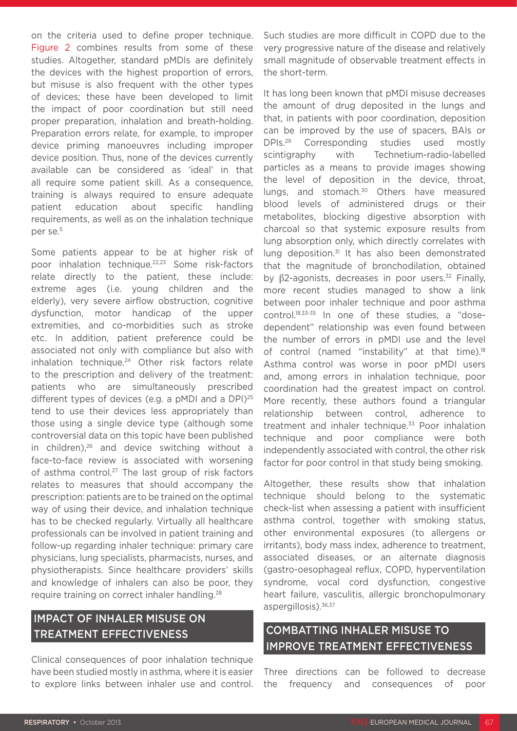on the criteria used to define proper technique. Figure 2 combines results from some of these studies. Altogether, standard pMDIs are definitely the devices with the highest proportion of errors, but misuse is also frequent with the other types of devices; these have been developed to limit the impact of poor coordination but still need proper preparation, inhalation and breath-holding. Preparation errors relate, for example, to improper device priming manoeuvres including improper device position. Thus, none of the devices currently available can be considered as 'ideal' in that all require some patient skill. As a consequence, training is always required to ensure adequate patient education about specific handling requirements, as well as on the inhalation technique per se.<sup>5</sup>

Some patients appear to be at higher risk of poor inhalation technique.22,23 Some risk-factors relate directly to the patient, these include: extreme ages (i.e. young children and the elderly), very severe airflow obstruction, cognitive dysfunction, motor handicap of the upper extremities, and co-morbidities such as stroke etc. In addition, patient preference could be associated not only with compliance but also with inhalation technique.<sup>24</sup> Other risk factors relate to the prescription and delivery of the treatment: patients who are simultaneously prescribed different types of devices (e.g. a pMDI and a DPI)<sup>25</sup> tend to use their devices less appropriately than those using a single device type (although some controversial data on this topic have been published in children),26 and device switching without a face-to-face review is associated with worsening of asthma control.<sup>27</sup> The last group of risk factors relates to measures that should accompany the prescription: patients are to be trained on the optimal way of using their device, and inhalation technique has to be checked regularly. Virtually all healthcare professionals can be involved in patient training and follow-up regarding inhaler technique: primary care physicians, lung specialists, pharmacists, nurses, and physiotherapists. Since healthcare providers' skills and knowledge of inhalers can also be poor, they require training on correct inhaler handling.28

## IMPACT OF INHALER MISUSE ON TREATMENT EFFECTIVENESS

Clinical consequences of poor inhalation technique have been studied mostly in asthma, where it is easier to explore links between inhaler use and control. Such studies are more difficult in COPD due to the very progressive nature of the disease and relatively small magnitude of observable treatment effects in the short-term.

It has long been known that pMDI misuse decreases the amount of drug deposited in the lungs and that, in patients with poor coordination, deposition can be improved by the use of spacers, BAIs or DPIs.29 Corresponding studies used mostly scintigraphy with Technetium-radio-labelled particles as a means to provide images showing the level of deposition in the device, throat, lungs, and stomach.<sup>30</sup> Others have measured blood levels of administered drugs or their metabolites, blocking digestive absorption with charcoal so that systemic exposure results from lung absorption only, which directly correlates with lung deposition.<sup>31</sup> It has also been demonstrated that the magnitude of bronchodilation, obtained by  $β2$ -agonists, decreases in poor users.<sup>32</sup> Finally, more recent studies managed to show a link between poor inhaler technique and poor asthma control.18,33-35 In one of these studies, a "dosedependent" relationship was even found between the number of errors in pMDI use and the level of control (named "instability" at that time).<sup>18</sup> Asthma control was worse in poor pMDI users and, among errors in inhalation technique, poor coordination had the greatest impact on control. More recently, these authors found a triangular relationship between control, adherence to treatment and inhaler technique.<sup>33</sup> Poor inhalation technique and poor compliance were both independently associated with control, the other risk factor for poor control in that study being smoking.

Altogether, these results show that inhalation technique should belong to the systematic check-list when assessing a patient with insufficient asthma control, together with smoking status, other environmental exposures (to allergens or irritants), body mass index, adherence to treatment, associated diseases, or an alternate diagnosis (gastro-oesophageal reflux, COPD, hyperventilation syndrome, vocal cord dysfunction, congestive heart failure, vasculitis, allergic bronchopulmonary aspergillosis).<sup>36,37</sup>

## COMBATTING INHALER MISUSE TO IMPROVE TREATMENT EFFECTIVENESS

Three directions can be followed to decrease the frequency and consequences of poor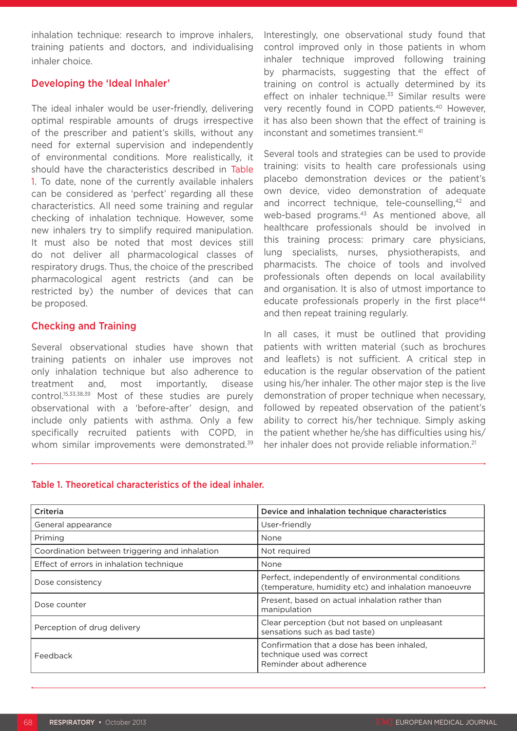inhalation technique: research to improve inhalers, training patients and doctors, and individualising inhaler choice.

#### Developing the 'Ideal Inhaler'

The ideal inhaler would be user-friendly, delivering optimal respirable amounts of drugs irrespective of the prescriber and patient's skills, without any need for external supervision and independently of environmental conditions. More realistically, it should have the characteristics described in Table 1. To date, none of the currently available inhalers can be considered as 'perfect' regarding all these characteristics. All need some training and regular checking of inhalation technique. However, some new inhalers try to simplify required manipulation. It must also be noted that most devices still do not deliver all pharmacological classes of respiratory drugs. Thus, the choice of the prescribed pharmacological agent restricts (and can be restricted by) the number of devices that can be proposed.

#### Checking and Training

Several observational studies have shown that training patients on inhaler use improves not only inhalation technique but also adherence to treatment and, most importantly, disease control.15,33,38,39 Most of these studies are purely observational with a 'before-after' design, and include only patients with asthma. Only a few specifically recruited patients with COPD, in whom similar improvements were demonstrated.<sup>39</sup>

Interestingly, one observational study found that control improved only in those patients in whom inhaler technique improved following training by pharmacists, suggesting that the effect of training on control is actually determined by its effect on inhaler technique.<sup>33</sup> Similar results were very recently found in COPD patients.<sup>40</sup> However, it has also been shown that the effect of training is inconstant and sometimes transient.<sup>41</sup>

Several tools and strategies can be used to provide training: visits to health care professionals using placebo demonstration devices or the patient's own device, video demonstration of adequate and incorrect technique, tele-counselling,<sup>42</sup> and web-based programs.<sup>43</sup> As mentioned above, all healthcare professionals should be involved in this training process: primary care physicians, lung specialists, nurses, physiotherapists, and pharmacists. The choice of tools and involved professionals often depends on local availability and organisation. It is also of utmost importance to educate professionals properly in the first place<sup>44</sup> and then repeat training regularly.

In all cases, it must be outlined that providing patients with written material (such as brochures and leaflets) is not sufficient. A critical step in education is the regular observation of the patient using his/her inhaler. The other major step is the live demonstration of proper technique when necessary, followed by repeated observation of the patient's ability to correct his/her technique. Simply asking the patient whether he/she has difficulties using his/ her inhaler does not provide reliable information.<sup>21</sup>

#### Table 1. Theoretical characteristics of the ideal inhaler.

| Criteria                                       | Device and inhalation technique characteristics                                                            |
|------------------------------------------------|------------------------------------------------------------------------------------------------------------|
| General appearance                             | User-friendly                                                                                              |
| Priming                                        | None                                                                                                       |
| Coordination between triggering and inhalation | Not required                                                                                               |
| Effect of errors in inhalation technique       | None                                                                                                       |
| Dose consistency                               | Perfect, independently of environmental conditions<br>(temperature, humidity etc) and inhalation manoeuvre |
| Dose counter                                   | Present, based on actual inhalation rather than<br>manipulation                                            |
| Perception of drug delivery                    | Clear perception (but not based on unpleasant<br>sensations such as bad taste)                             |
| Feedback                                       | Confirmation that a dose has been inhaled.<br>technique used was correct<br>Reminder about adherence       |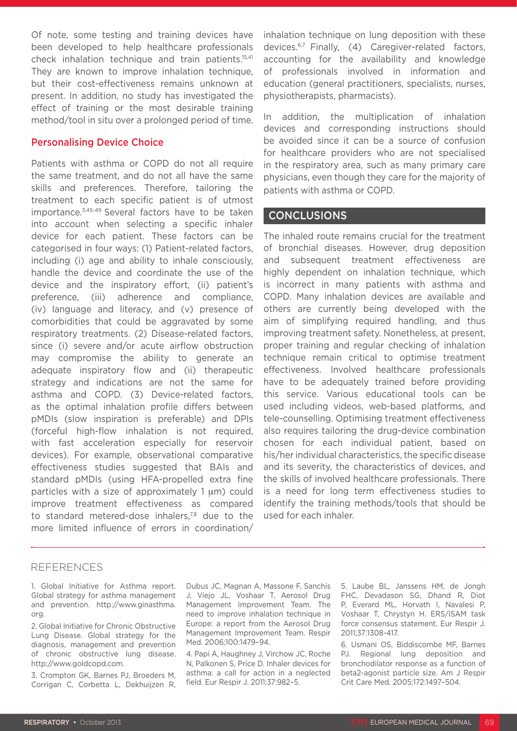Of note, some testing and training devices have been developed to help healthcare professionals check inhalation technique and train patients.15,41 They are known to improve inhalation technique, but their cost-effectiveness remains unknown at present. In addition, no study has investigated the effect of training or the most desirable training method/tool in situ over a prolonged period of time.

#### Personalising Device Choice

Patients with asthma or COPD do not all require the same treatment, and do not all have the same skills and preferences. Therefore, tailoring the treatment to each specific patient is of utmost importance.3,45-49 Several factors have to be taken into account when selecting a specific inhaler device for each patient. These factors can be categorised in four ways: (1) Patient-related factors, including (i) age and ability to inhale consciously, handle the device and coordinate the use of the device and the inspiratory effort, (ii) patient's preference, (iii) adherence and compliance, (iv) language and literacy, and (v) presence of comorbidities that could be aggravated by some respiratory treatments. (2) Disease-related factors, since (i) severe and/or acute airflow obstruction may compromise the ability to generate an adequate inspiratory flow and (ii) therapeutic strategy and indications are not the same for asthma and COPD. (3) Device-related factors, as the optimal inhalation profile differs between pMDIs (slow inspiration is preferable) and DPIs (forceful high-flow inhalation is not required, with fast acceleration especially for reservoir devices). For example, observational comparative effectiveness studies suggested that BAIs and standard pMDIs (using HFA-propelled extra fine particles with a size of approximately 1 um) could improve treatment effectiveness as compared to standard metered-dose inhalers, $78$  due to the more limited influence of errors in coordination/

inhalation technique on lung deposition with these devices.6,7 Finally, (4) Caregiver-related factors, accounting for the availability and knowledge of professionals involved in information and education (general practitioners, specialists, nurses, physiotherapists, pharmacists).

In addition, the multiplication of inhalation devices and corresponding instructions should be avoided since it can be a source of confusion for healthcare providers who are not specialised in the respiratory area, such as many primary care physicians, even though they care for the majority of patients with asthma or COPD.

#### CONCLUSIONS

The inhaled route remains crucial for the treatment of bronchial diseases. However, drug deposition and subsequent treatment effectiveness are highly dependent on inhalation technique, which is incorrect in many patients with asthma and COPD. Many inhalation devices are available and others are currently being developed with the aim of simplifying required handling, and thus improving treatment safety. Nonetheless, at present, proper training and regular checking of inhalation technique remain critical to optimise treatment effectiveness. Involved healthcare professionals have to be adequately trained before providing this service. Various educational tools can be used including videos, web-based platforms, and tele-counselling. Optimising treatment effectiveness also requires tailoring the drug-device combination chosen for each individual patient, based on his/her individual characteristics, the specific disease and its severity, the characteristics of devices, and the skills of involved healthcare professionals. There is a need for long term effectiveness studies to identify the training methods/tools that should be used for each inhaler.

#### REFERENCES

1. Global Initiative for Asthma report. Global strategy for asthma management and prevention. http://www.ginasthma. org.

2. Global Initiative for Chronic Obstructive Lung Disease. Global strategy for the diagnosis, management and prevention of chronic obstructive lung disease. http://www.goldcopd.com.

3. Crompton GK, Barnes PJ, Broeders M, Corrigan C, Corbetta L, Dekhuijzen R, Dubus JC, Magnan A, Massone F, Sanchis J, Viejo JL, Voshaar T, Aerosol Drug Management Improvement Team. The need to improve inhalation technique in Europe: a report from the Aerosol Drug Management Improvement Team. Respir Med. 2006;100:1479–94.

4. Papi A, Haughney J, Virchow JC, Roche N, Palkonen S, Price D. Inhaler devices for asthma: a call for action in a neglected field. Eur Respir J. 2011;37:982–5.

5. Laube BL, Janssens HM, de Jongh FHC, Devadason SG, Dhand R, Diot P, Everard ML, Horvath I, Navalesi P, Voshaar T, Chrystyn H. ERS/ISAM task force consensus statement. Eur Respir J. 2011;37:1308-417.

6. Usmani OS, Biddiscombe MF, Barnes PJ. Regional lung deposition and bronchodilator response as a function of beta2-agonist particle size. Am J Respir Crit Care Med. 2005;172:1497–504.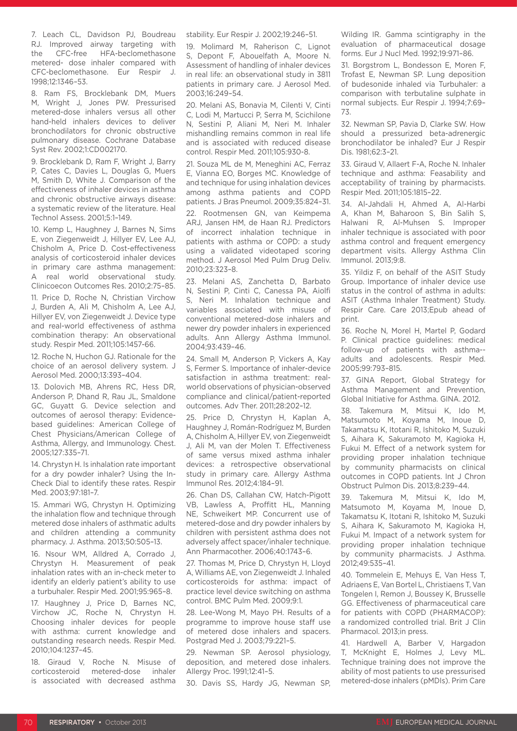7. Leach CL, Davidson PJ, Boudreau RJ. Improved airway targeting with the CFC-free HFA-beclomethasone metered- dose inhaler compared with CFC-beclomethasone. Eur Respir J. 1998;12:1346–53.

8. Ram FS, Brocklebank DM, Muers M, Wright J, Jones PW. Pressurised metered-dose inhalers versus all other hand-held inhalers devices to deliver bronchodilators for chronic obstructive pulmonary disease. Cochrane Database Syst Rev. 2002;1:CD002170.

9. Brocklebank D, Ram F, Wright J, Barry P, Cates C, Davies L, Douglas G, Muers M, Smith D, White J. Comparison of the effectiveness of inhaler devices in asthma and chronic obstructive airways disease: a systematic review of the literature. Heal Technol Assess. 2001;5:1–149.

10. Kemp L, Haughney J, Barnes N, Sims E, von Ziegenweidt J, Hillyer EV, Lee AJ, Chisholm A, Price D. Cost-effectiveness analysis of corticosteroid inhaler devices in primary care asthma management: A real world observational study. Clinicoecon Outcomes Res. 2010;2:75–85.

11. Price D, Roche N, Christian Virchow J, Burden A, Ali M, Chisholm A, Lee AJ, Hillyer EV, von Ziegenweidt J. Device type and real-world effectiveness of asthma combination therapy: An observational study. Respir Med. 2011;105:1457-66.

12. Roche N, Huchon GJ. Rationale for the choice of an aerosol delivery system. J Aerosol Med. 2000;13:393–404.

13. Dolovich MB, Ahrens RC, Hess DR, Anderson P, Dhand R, Rau JL, Smaldone GC, Guyatt G. Device selection and outcomes of aerosol therapy: Evidencebased guidelines: American College of Chest Physicians/American College of Asthma, Allergy, and Immunology. Chest. 2005;127:335–71.

14. Chrystyn H. Is inhalation rate important for a dry powder inhaler? Using the In-Check Dial to identify these rates. Respir Med. 2003;97:181–7.

15. Ammari WG, Chrystyn H. Optimizing the inhalation flow and technique through metered dose inhalers of asthmatic adults and children attending a community pharmacy. J. Asthma. 2013;50:505–13.

16. Nsour WM, Alldred A, Corrado J, Chrystyn H. Measurement of peak inhalation rates with an in-check meter to identify an elderly patient's ability to use a turbuhaler. Respir Med. 2001;95:965–8.

17. Haughney J, Price D, Barnes NC, Virchow JC, Roche N, Chrystyn H. Choosing inhaler devices for people with asthma: current knowledge and outstanding research needs. Respir Med. 2010;104:1237–45.

18. Giraud V, Roche N. Misuse of corticosteroid metered-dose inhaler is associated with decreased asthma stability. Eur Respir J. 2002;19:246–51.

19. Molimard M, Raherison C, Lignot S, Depont F, Abouelfath A, Moore N. Assessment of handling of inhaler devices in real life: an observational study in 3811 patients in primary care. J Aerosol Med. 2003;16:249–54.

20. Melani AS, Bonavia M, Cilenti V, Cinti C, Lodi M, Martucci P, Serra M, Scichilone N, Sestini P, Aliani M, Neri M. Inhaler mishandling remains common in real life and is associated with reduced disease control. Respir Med. 2011;105:930-8.

21. Souza ML de M, Meneghini AC, Ferraz E, Vianna EO, Borges MC. Knowledge of and technique for using inhalation devices among asthma patients and COPD patients. J Bras Pneumol. 2009;35:824–31.

22. Rootmensen GN, van Keimpema ARJ, Jansen HM, de Haan RJ. Predictors of incorrect inhalation technique in patients with asthma or COPD: a study using a validated videotaped scoring method. J Aerosol Med Pulm Drug Deliv. 2010;23:323–8.

23. Melani AS, Zanchetta D, Barbato N, Sestini P, Cinti C, Canessa PA, Aiolfi S. Neri M. Inhalation technique and variables associated with misuse of conventional metered-dose inhalers and newer dry powder inhalers in experienced adults. Ann Allergy Asthma Immunol. 2004;93:439–46.

24. Small M, Anderson P, Vickers A, Kay S, Fermer S. Importance of inhaler-device satisfaction in asthma treatment: realworld observations of physician-observed compliance and clinical/patient-reported outcomes. Adv Ther. 2011;28:202–12.

25. Price D, Chrystyn H, Kaplan A, Haughney J, Román-Rodríguez M, Burden A, Chisholm A, Hillyer EV, von Ziegenweidt J, Ali M, van der Molen T. Effectiveness of same versus mixed asthma inhaler devices: a retrospective observational study in primary care. Allergy Asthma Immunol Res. 2012;4:184–91.

26. Chan DS, Callahan CW, Hatch-Pigott VB, Lawless A, Proffitt HL, Manning NE, Schweikert MP. Concurrent use of metered-dose and dry powder inhalers by children with persistent asthma does not adversely affect spacer/inhaler technique. Ann Pharmacother. 2006;40:1743–6.

27. Thomas M, Price D, Chrystyn H, Lloyd A, Williams AE, von Ziegenweidt J. Inhaled corticosteroids for asthma: impact of practice level device switching on asthma control. BMC Pulm Med. 2009;9:1.

28. Lee-Wong M, Mayo PH. Results of a programme to improve house staff use of metered dose inhalers and spacers. Postgrad Med J. 2003;79:221–5.

29. Newman SP. Aerosol physiology, deposition, and metered dose inhalers. Allergy Proc. 1991;12:41–5.

30. Davis SS, Hardy JG, Newman SP,

Wilding IR. Gamma scintigraphy in the evaluation of pharmaceutical dosage forms. Eur J Nucl Med. 1992;19:971–86.

31. Borgstrom L, Bondesson E, Moren F, Trofast E, Newman SP. Lung deposition of budesonide inhaled via Turbuhaler: a comparison with terbutaline sulphate in normal subjects. Eur Respir J. 1994:7:69-73.

32. Newman SP, Pavia D, Clarke SW. How should a pressurized beta-adrenergic bronchodilator be inhaled? Eur J Respir Dis. 1981;62:3–21.

33. Giraud V, Allaert F-A, Roche N. Inhaler technique and asthma: Feasability and acceptability of training by pharmacists. Respir Med. 2011;105:1815–22.

34. Al-Jahdali H, Ahmed A, Al-Harbi A, Khan M, Baharoon S, Bin Salih S, Halwani R, Al-Muhsen S. Improper inhaler technique is associated with poor asthma control and frequent emergency department visits. Allergy Asthma Clin Immunol. 2013;9:8.

35. Yildiz F, on behalf of the ASIT Study Group. Importance of inhaler device use status in the control of asthma in adults: ASIT (Asthma Inhaler Treatment) Study. Respir Care. Care 2013;Epub ahead of print.

36. Roche N, Morel H, Martel P, Godard P. Clinical practice guidelines: medical follow-up of patients with asthma- adults and adolescents. Respir Med. 2005;99:793–815.

37. GINA Report, Global Strategy for Asthma Management and Prevention, Global Initiative for Asthma. GINA. 2012.

38. Takemura M, Mitsui K, Ido M, Matsumoto M, Koyama M, Inoue D, Takamatsu K, Itotani R, Ishitoko M, Suzuki S, Aihara K, Sakuramoto M, Kagioka H, Fukui M. Effect of a network system for providing proper inhalation technique by community pharmacists on clinical outcomes in COPD patients. Int J Chron Obstruct Pulmon Dis. 2013;8:239–44.

39. Takemura M, Mitsui K, Ido M, Matsumoto M, Koyama M, Inoue D, Takamatsu K, Itotani R, Ishitoko M, Suzuki S, Aihara K, Sakuramoto M, Kagioka H, Fukui M. Impact of a network system for providing proper inhalation technique by community pharmacists. J Asthma. 2012;49:535–41.

40. Tommelein E, Mehuys E, Van Hess T, Adriaens E, Van Bortel L, Christiaens T, Van Tongelen I, Remon J, Boussey K, Brusselle GG. Effectiveness of pharmaceutical care for patients with COPD (PHARMACOP): a randomized controlled trial. Brit J Clin Pharmacol. 2013;in press.

41. Hardwell A, Barber V, Hargadon T, McKnight E, Holmes J, Levy ML. Technique training does not improve the ability of most patients to use pressurised metered-dose inhalers (pMDIs). Prim Care